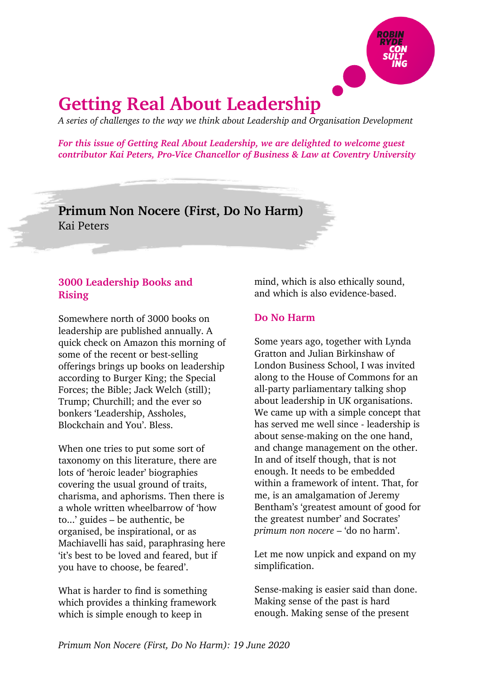

# **Getting Real About Leadership**

*A series of challenges to the way we think about Leadership and Organisation Development*

*For this issue of Getting Real About Leadership, we are delighted to welcome guest contributor Kai Peters, Pro-Vice Chancellor of Business & Law at Coventry University*

**Primum Non Nocere (First, Do No Harm)** Kai Peters

## **3000 Leadership Books and Rising**

Somewhere north of 3000 books on leadership are published annually. A quick check on Amazon this morning of some of the recent or best-selling offerings brings up books on leadership according to Burger King; the Special Forces; the Bible; Jack Welch (still); Trump; Churchill; and the ever so bonkers 'Leadership, Assholes, Blockchain and You'. Bless.

When one tries to put some sort of taxonomy on this literature, there are lots of 'heroic leader' biographies covering the usual ground of traits, charisma, and aphorisms. Then there is a whole written wheelbarrow of 'how to...' guides – be authentic, be organised, be inspirational, or as Machiavelli has said, paraphrasing here 'it's best to be loved and feared, but if you have to choose, be feared'.

What is harder to find is something which provides a thinking framework which is simple enough to keep in

mind, which is also ethically sound, and which is also evidence-based.

#### **Do No Harm**

Some years ago, together with Lynda Gratton and Julian Birkinshaw of London Business School, I was invited along to the House of Commons for an all-party parliamentary talking shop about leadership in UK organisations. We came up with a simple concept that has served me well since - leadership is about sense-making on the one hand, and change management on the other. In and of itself though, that is not enough. It needs to be embedded within a framework of intent. That, for me, is an amalgamation of Jeremy Bentham's 'greatest amount of good for the greatest number' and Socrates' *primum non nocere* – 'do no harm'.

Let me now unpick and expand on my simplification.

Sense-making is easier said than done. Making sense of the past is hard enough. Making sense of the present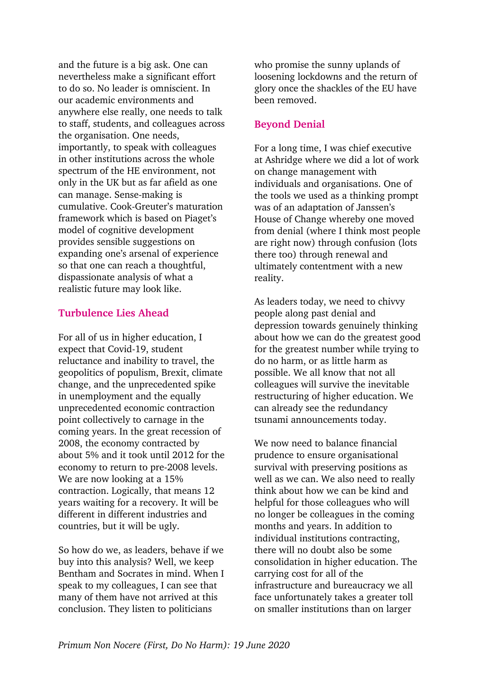and the future is a big ask. One can nevertheless make a significant effort to do so. No leader is omniscient. In our academic environments and anywhere else really, one needs to talk to staff, students, and colleagues across the organisation. One needs, importantly, to speak with colleagues in other institutions across the whole spectrum of the HE environment, not only in the UK but as far afield as one can manage. Sense-making is cumulative. Cook-Greuter's maturation framework which is based on Piaget's model of cognitive development provides sensible suggestions on expanding one's arsenal of experience so that one can reach a thoughtful, dispassionate analysis of what a realistic future may look like.

#### **Turbulence Lies Ahead**

For all of us in higher education, I expect that Covid-19, student reluctance and inability to travel, the geopolitics of populism, Brexit, climate change, and the unprecedented spike in unemployment and the equally unprecedented economic contraction point collectively to carnage in the coming years. In the great recession of 2008, the economy contracted by about 5% and it took until 2012 for the economy to return to pre-2008 levels. We are now looking at a 15% contraction. Logically, that means 12 years waiting for a recovery. It will be different in different industries and countries, but it will be ugly.

So how do we, as leaders, behave if we buy into this analysis? Well, we keep Bentham and Socrates in mind. When I speak to my colleagues, I can see that many of them have not arrived at this conclusion. They listen to politicians

who promise the sunny uplands of loosening lockdowns and the return of glory once the shackles of the EU have been removed.

## **Beyond Denial**

For a long time, I was chief executive at Ashridge where we did a lot of work on change management with individuals and organisations. One of the tools we used as a thinking prompt was of an adaptation of Janssen's House of Change whereby one moved from denial (where I think most people are right now) through confusion (lots there too) through renewal and ultimately contentment with a new reality.

As leaders today, we need to chivvy people along past denial and depression towards genuinely thinking about how we can do the greatest good for the greatest number while trying to do no harm, or as little harm as possible. We all know that not all colleagues will survive the inevitable restructuring of higher education. We can already see the redundancy tsunami announcements today.

We now need to balance financial prudence to ensure organisational survival with preserving positions as well as we can. We also need to really think about how we can be kind and helpful for those colleagues who will no longer be colleagues in the coming months and years. In addition to individual institutions contracting, there will no doubt also be some consolidation in higher education. The carrying cost for all of the infrastructure and bureaucracy we all face unfortunately takes a greater toll on smaller institutions than on larger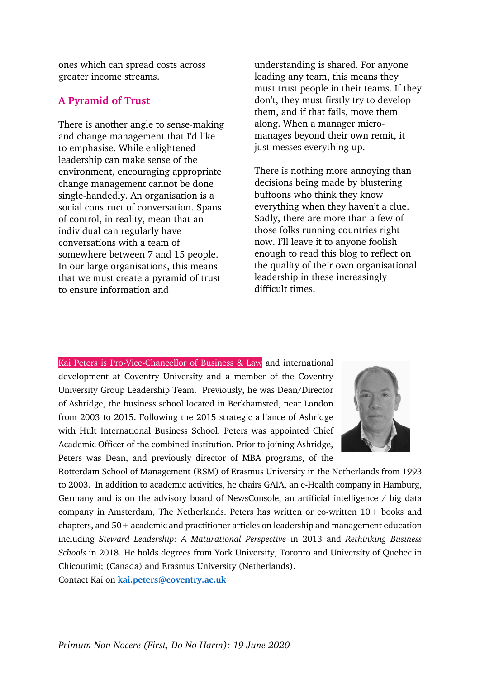ones which can spread costs across greater income streams.

### **A Pyramid of Trust**

There is another angle to sense-making and change management that I'd like to emphasise. While enlightened leadership can make sense of the environment, encouraging appropriate change management cannot be done single-handedly. An organisation is a social construct of conversation. Spans of control, in reality, mean that an individual can regularly have conversations with a team of somewhere between 7 and 15 people. In our large organisations, this means that we must create a pyramid of trust to ensure information and

understanding is shared. For anyone leading any team, this means they must trust people in their teams. If they don't, they must firstly try to develop them, and if that fails, move them along. When a manager micromanages beyond their own remit, it just messes everything up.

There is nothing more annoying than decisions being made by blustering buffoons who think they know everything when they haven't a clue. Sadly, there are more than a few of those folks running countries right now. I'll leave it to anyone foolish enough to read this blog to reflect on the quality of their own organisational leadership in these increasingly difficult times.

Kai Peters is Pro-Vice-Chancellor of Business & Law and international development at Coventry University and a member of the Coventry University Group Leadership Team. Previously, he was Dean/Director of Ashridge, the business school located in Berkhamsted, near London from 2003 to 2015. Following the 2015 strategic alliance of Ashridge with Hult International Business School, Peters was appointed Chief Academic Officer of the combined institution. Prior to joining Ashridge, Peters was Dean, and previously director of MBA programs, of the



Rotterdam School of Management (RSM) of Erasmus University in the Netherlands from 1993 to 2003. In addition to academic activities, he chairs GAIA, an e-Health company in Hamburg, Germany and is on the advisory board of NewsConsole, an artificial intelligence / big data company in Amsterdam, The Netherlands. Peters has written or co-written 10+ books and chapters, and 50+ academic and practitioner articles on leadership and management education including *Steward Leadership: A Maturational Perspective* in 2013 and *Rethinking Business Schools* in 2018. He holds degrees from York University, Toronto and University of Quebec in Chicoutimi; (Canada) and Erasmus University (Netherlands).

Contact Kai on **kai.peters@coventry.ac.uk**